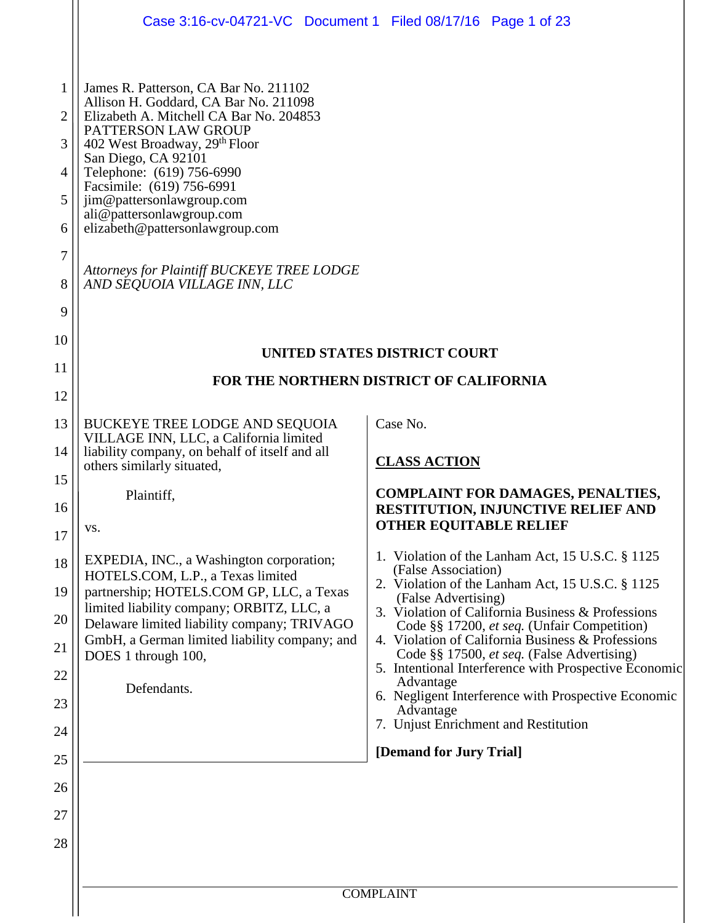|                                                                              | Case 3:16-cv-04721-VC Document 1 Filed 08/17/16 Page 1 of 23                                                                                                                                                                                                                                                                                                                                                                                              |                                                                                                                 |
|------------------------------------------------------------------------------|-----------------------------------------------------------------------------------------------------------------------------------------------------------------------------------------------------------------------------------------------------------------------------------------------------------------------------------------------------------------------------------------------------------------------------------------------------------|-----------------------------------------------------------------------------------------------------------------|
| $\mathbf{1}$<br>2<br>3<br>$\overline{4}$<br>5<br>6<br>$\tau$<br>8<br>9<br>10 | James R. Patterson, CA Bar No. 211102<br>Allison H. Goddard, CA Bar No. 211098<br>Elizabeth A. Mitchell CA Bar No. 204853<br>PATTERSON LAW GROUP<br>402 West Broadway, 29 <sup>th</sup> Floor<br>San Diego, CA 92101<br>Telephone: (619) 756-6990<br>Facsimile: (619) 756-6991<br>jim@pattersonlawgroup.com<br>ali@pattersonlawgroup.com<br>elizabeth@pattersonlawgroup.com<br>Attorneys for Plaintiff BUCKEYE TREE LODGE<br>AND SEQUOIA VILLAGE INN, LLC |                                                                                                                 |
|                                                                              |                                                                                                                                                                                                                                                                                                                                                                                                                                                           | <b>UNITED STATES DISTRICT COURT</b>                                                                             |
| 11                                                                           |                                                                                                                                                                                                                                                                                                                                                                                                                                                           | FOR THE NORTHERN DISTRICT OF CALIFORNIA                                                                         |
| 12                                                                           |                                                                                                                                                                                                                                                                                                                                                                                                                                                           |                                                                                                                 |
| 13                                                                           | <b>BUCKEYE TREE LODGE AND SEQUOIA</b><br>VILLAGE INN, LLC, a California limited                                                                                                                                                                                                                                                                                                                                                                           | Case No.                                                                                                        |
| 14                                                                           | liability company, on behalf of itself and all<br>others similarly situated,                                                                                                                                                                                                                                                                                                                                                                              | <b>CLASS ACTION</b>                                                                                             |
| 15<br>16<br>17                                                               | Plaintiff,<br>VS.                                                                                                                                                                                                                                                                                                                                                                                                                                         | <b>COMPLAINT FOR DAMAGES, PENALTIES,</b><br>RESTITUTION, INJUNCTIVE RELIEF AND<br><b>OTHER EQUITABLE RELIEF</b> |
| 18                                                                           | EXPEDIA, INC., a Washington corporation;                                                                                                                                                                                                                                                                                                                                                                                                                  | 1. Violation of the Lanham Act, 15 U.S.C. § 1125                                                                |
| 19                                                                           | HOTELS.COM, L.P., a Texas limited<br>partnership; HOTELS.COM GP, LLC, a Texas                                                                                                                                                                                                                                                                                                                                                                             | (False Association)<br>2. Violation of the Lanham Act, 15 U.S.C. § 1125                                         |
| 20                                                                           | limited liability company; ORBITZ, LLC, a                                                                                                                                                                                                                                                                                                                                                                                                                 | (False Advertising)<br>3. Violation of California Business & Professions                                        |
| 21                                                                           | Delaware limited liability company; TRIVAGO<br>GmbH, a German limited liability company; and                                                                                                                                                                                                                                                                                                                                                              | Code §§ 17200, et seq. (Unfair Competition)<br>4. Violation of California Business & Professions                |
| 22                                                                           | DOES 1 through 100,                                                                                                                                                                                                                                                                                                                                                                                                                                       | Code §§ 17500, et seq. (False Advertising)<br>5. Intentional Interference with Prospective Economic             |
| 23                                                                           | Defendants.                                                                                                                                                                                                                                                                                                                                                                                                                                               | Advantage<br>6. Negligent Interference with Prospective Economic                                                |
| 24                                                                           |                                                                                                                                                                                                                                                                                                                                                                                                                                                           | Advantage<br>7. Unjust Enrichment and Restitution                                                               |
| 25                                                                           |                                                                                                                                                                                                                                                                                                                                                                                                                                                           | [Demand for Jury Trial]                                                                                         |
| 26                                                                           |                                                                                                                                                                                                                                                                                                                                                                                                                                                           |                                                                                                                 |
| 27                                                                           |                                                                                                                                                                                                                                                                                                                                                                                                                                                           |                                                                                                                 |
| 28                                                                           |                                                                                                                                                                                                                                                                                                                                                                                                                                                           |                                                                                                                 |
|                                                                              |                                                                                                                                                                                                                                                                                                                                                                                                                                                           |                                                                                                                 |
|                                                                              |                                                                                                                                                                                                                                                                                                                                                                                                                                                           | <b>COMPLAINT</b>                                                                                                |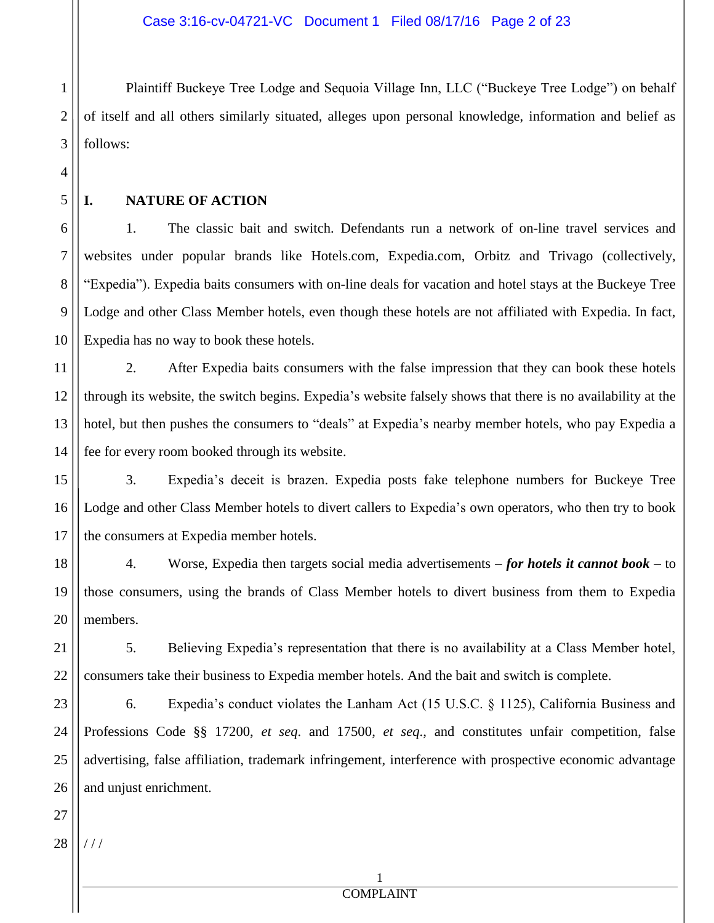2 3 Plaintiff Buckeye Tree Lodge and Sequoia Village Inn, LLC ("Buckeye Tree Lodge") on behalf of itself and all others similarly situated, alleges upon personal knowledge, information and belief as follows:

5

6

7

8

9

10

11

14

21

22

4

1

### **I. NATURE OF ACTION**

1. The classic bait and switch. Defendants run a network of on-line travel services and websites under popular brands like Hotels.com, Expedia.com, Orbitz and Trivago (collectively, "Expedia"). Expedia baits consumers with on-line deals for vacation and hotel stays at the Buckeye Tree Lodge and other Class Member hotels, even though these hotels are not affiliated with Expedia. In fact, Expedia has no way to book these hotels.

12 13 2. After Expedia baits consumers with the false impression that they can book these hotels through its website, the switch begins. Expedia's website falsely shows that there is no availability at the hotel, but then pushes the consumers to "deals" at Expedia's nearby member hotels, who pay Expedia a fee for every room booked through its website.

15 16 17 3. Expedia's deceit is brazen. Expedia posts fake telephone numbers for Buckeye Tree Lodge and other Class Member hotels to divert callers to Expedia's own operators, who then try to book the consumers at Expedia member hotels.

18 19 20 4. Worse, Expedia then targets social media advertisements – *for hotels it cannot book* – to those consumers, using the brands of Class Member hotels to divert business from them to Expedia members.

5. Believing Expedia's representation that there is no availability at a Class Member hotel, consumers take their business to Expedia member hotels. And the bait and switch is complete.

23 24 25 26 6. Expedia's conduct violates the Lanham Act (15 U.S.C. § 1125), California Business and Professions Code §§ 17200, *et seq*. and 17500, *et seq*., and constitutes unfair competition, false advertising, false affiliation, trademark infringement, interference with prospective economic advantage and unjust enrichment.

28 / / /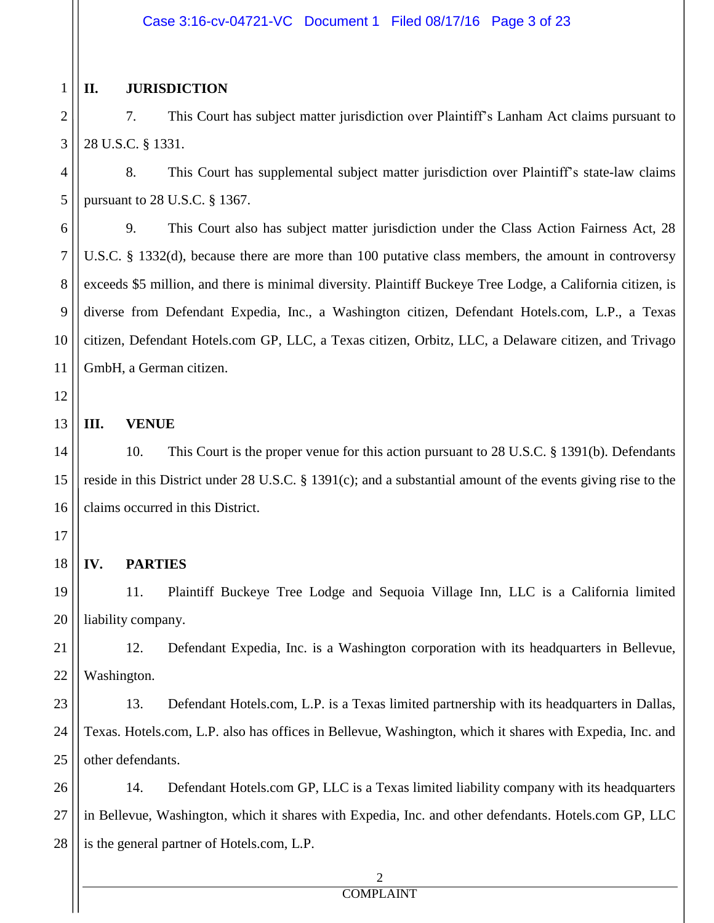#### Case 3:16-cv-04721-VC Document 1 Filed 08/17/16 Page 3 of 23

#### **II. JURISDICTION**

2 3 7. This Court has subject matter jurisdiction over Plaintiff's Lanham Act claims pursuant to 28 U.S.C. § 1331.

4 5 8. This Court has supplemental subject matter jurisdiction over Plaintiff's state-law claims pursuant to 28 U.S.C. § 1367.

9. This Court also has subject matter jurisdiction under the Class Action Fairness Act, 28 U.S.C. § 1332(d), because there are more than 100 putative class members, the amount in controversy exceeds \$5 million, and there is minimal diversity. Plaintiff Buckeye Tree Lodge, a California citizen, is diverse from Defendant Expedia, Inc., a Washington citizen, Defendant Hotels.com, L.P., a Texas citizen, Defendant Hotels.com GP, LLC, a Texas citizen, Orbitz, LLC, a Delaware citizen, and Trivago GmbH, a German citizen.

12

13

14

17

19

1

6

7

8

9

10

11

#### **III. VENUE**

15 16 10. This Court is the proper venue for this action pursuant to 28 U.S.C. § 1391(b). Defendants reside in this District under 28 U.S.C. § 1391(c); and a substantial amount of the events giving rise to the claims occurred in this District.

# 18

**IV. PARTIES** 11. Plaintiff Buckeye Tree Lodge and Sequoia Village Inn, LLC is a California limited

20 liability company.

21 22 12. Defendant Expedia, Inc. is a Washington corporation with its headquarters in Bellevue, Washington.

23 24 25 13. Defendant Hotels.com, L.P. is a Texas limited partnership with its headquarters in Dallas, Texas. Hotels.com, L.P. also has offices in Bellevue, Washington, which it shares with Expedia, Inc. and other defendants.

26 27 28 14. Defendant Hotels.com GP, LLC is a Texas limited liability company with its headquarters in Bellevue, Washington, which it shares with Expedia, Inc. and other defendants. Hotels.com GP, LLC is the general partner of Hotels.com, L.P.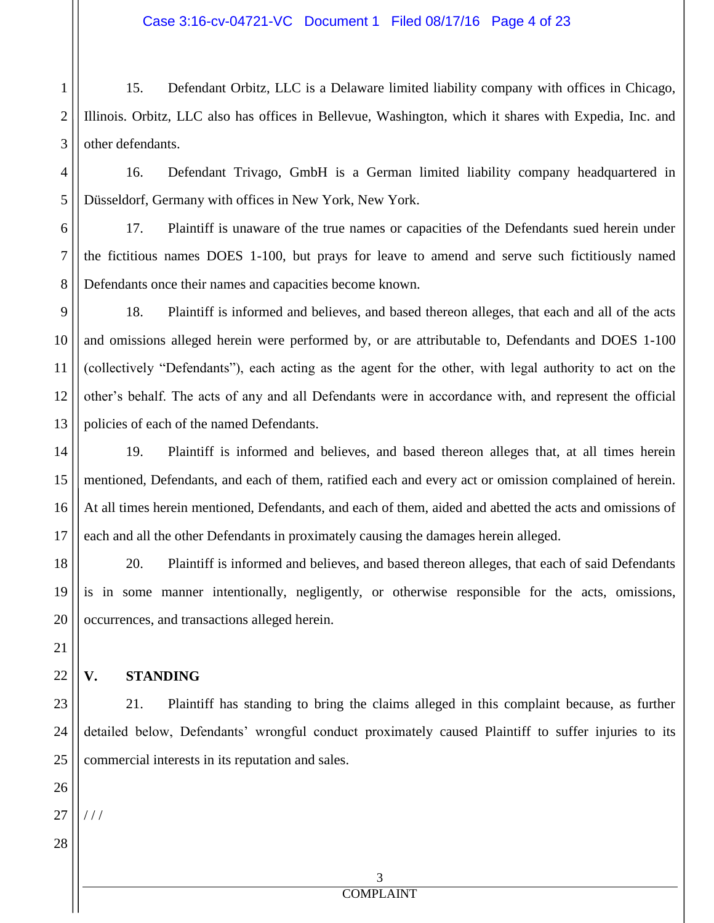1 2 3 15. Defendant Orbitz, LLC is a Delaware limited liability company with offices in Chicago, Illinois. Orbitz, LLC also has offices in Bellevue, Washington, which it shares with Expedia, Inc. and other defendants.

4 5 16. Defendant Trivago, GmbH is a German limited liability company headquartered in Düsseldorf, Germany with offices in New York, New York.

6 7 8 17. Plaintiff is unaware of the true names or capacities of the Defendants sued herein under the fictitious names DOES 1-100, but prays for leave to amend and serve such fictitiously named Defendants once their names and capacities become known.

9 10 11 12 13 18. Plaintiff is informed and believes, and based thereon alleges, that each and all of the acts and omissions alleged herein were performed by, or are attributable to, Defendants and DOES 1-100 (collectively "Defendants"), each acting as the agent for the other, with legal authority to act on the other's behalf. The acts of any and all Defendants were in accordance with, and represent the official policies of each of the named Defendants.

14 15 16 17 19. Plaintiff is informed and believes, and based thereon alleges that, at all times herein mentioned, Defendants, and each of them, ratified each and every act or omission complained of herein. At all times herein mentioned, Defendants, and each of them, aided and abetted the acts and omissions of each and all the other Defendants in proximately causing the damages herein alleged.

18 19 20 20. Plaintiff is informed and believes, and based thereon alleges, that each of said Defendants is in some manner intentionally, negligently, or otherwise responsible for the acts, omissions, occurrences, and transactions alleged herein.

# **V. STANDING**

23 24 25 21. Plaintiff has standing to bring the claims alleged in this complaint because, as further detailed below, Defendants' wrongful conduct proximately caused Plaintiff to suffer injuries to its commercial interests in its reputation and sales.

26 27 / / /

28

21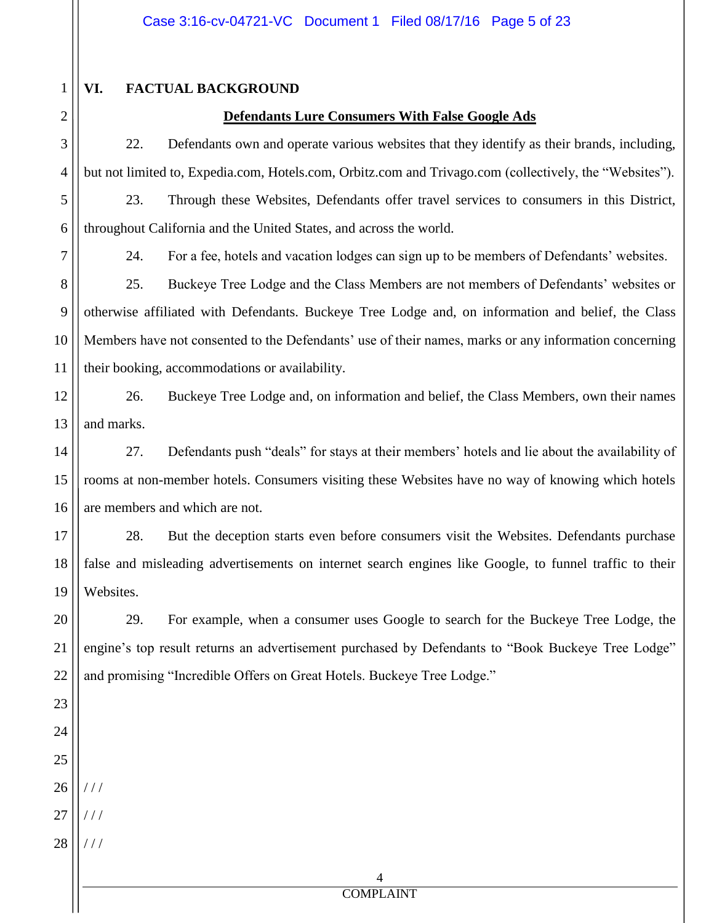# **VI. FACTUAL BACKGROUND**

#### **Defendants Lure Consumers With False Google Ads**

22. Defendants own and operate various websites that they identify as their brands, including, but not limited to, Expedia.com, Hotels.com, Orbitz.com and Trivago.com (collectively, the "Websites"). 23. Through these Websites, Defendants offer travel services to consumers in this District,

throughout California and the United States, and across the world.

1

2

3

4

5

6

7

8

9

10

11

24. For a fee, hotels and vacation lodges can sign up to be members of Defendants' websites.

25. Buckeye Tree Lodge and the Class Members are not members of Defendants' websites or otherwise affiliated with Defendants. Buckeye Tree Lodge and, on information and belief, the Class Members have not consented to the Defendants' use of their names, marks or any information concerning their booking, accommodations or availability.

12 13 26. Buckeye Tree Lodge and, on information and belief, the Class Members, own their names and marks.

14 15 16 27. Defendants push "deals" for stays at their members' hotels and lie about the availability of rooms at non-member hotels. Consumers visiting these Websites have no way of knowing which hotels are members and which are not.

17 18 19 28. But the deception starts even before consumers visit the Websites. Defendants purchase false and misleading advertisements on internet search engines like Google, to funnel traffic to their Websites.

29. For example, when a consumer uses Google to search for the Buckeye Tree Lodge, the engine's top result returns an advertisement purchased by Defendants to "Book Buckeye Tree Lodge" and promising "Incredible Offers on Great Hotels. Buckeye Tree Lodge."

20

21

27 / / /

 $111$ 

28 / / /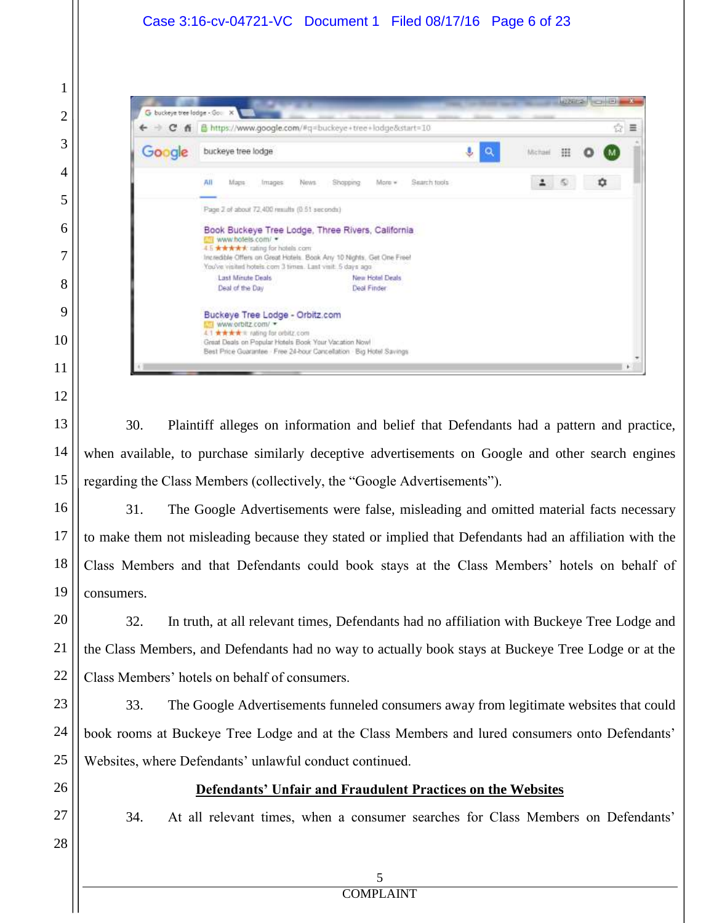

30. Plaintiff alleges on information and belief that Defendants had a pattern and practice, when available, to purchase similarly deceptive advertisements on Google and other search engines regarding the Class Members (collectively, the "Google Advertisements").

31. The Google Advertisements were false, misleading and omitted material facts necessary to make them not misleading because they stated or implied that Defendants had an affiliation with the Class Members and that Defendants could book stays at the Class Members' hotels on behalf of consumers.

32. In truth, at all relevant times, Defendants had no affiliation with Buckeye Tree Lodge and the Class Members, and Defendants had no way to actually book stays at Buckeye Tree Lodge or at the Class Members' hotels on behalf of consumers.

33. The Google Advertisements funneled consumers away from legitimate websites that could book rooms at Buckeye Tree Lodge and at the Class Members and lured consumers onto Defendants' Websites, where Defendants' unlawful conduct continued.

# **Defendants' Unfair and Fraudulent Practices on the Websites**

34. At all relevant times, when a consumer searches for Class Members on Defendants'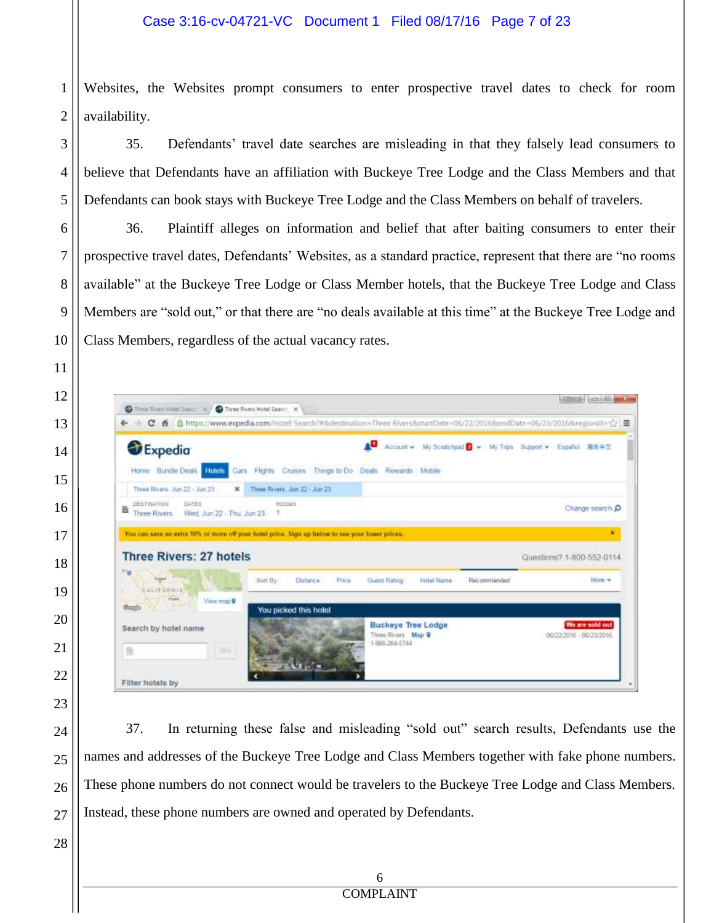#### Case 3:16-cv-04721-VC Document 1 Filed 08/17/16 Page 7 of 23

 Websites, the Websites prompt consumers to enter prospective travel dates to check for room availability.

35. Defendants' travel date searches are misleading in that they falsely lead consumers to believe that Defendants have an affiliation with Buckeye Tree Lodge and the Class Members and that Defendants can book stays with Buckeye Tree Lodge and the Class Members on behalf of travelers.

36. Plaintiff alleges on information and belief that after baiting consumers to enter their prospective travel dates, Defendants' Websites, as a standard practice, represent that there are "no rooms available" at the Buckeye Tree Lodge or Class Member hotels, that the Buckeye Tree Lodge and Class Members are "sold out," or that there are "no deals available at this time" at the Buckeye Tree Lodge and Class Members, regardless of the actual vacancy rates.

| <b>Expedia</b>                            |                                                                                                 | AΩ           | Account > My Scratchpad > My Trips Support > Español 简体中文 |             |                                      |
|-------------------------------------------|-------------------------------------------------------------------------------------------------|--------------|-----------------------------------------------------------|-------------|--------------------------------------|
| Home Bundle Deals Hotels                  | Cars Fights Cruises Things to Do Deals Rewards Mobile                                           |              |                                                           |             |                                      |
| Three Fovers, Jun 22 - Jun 23             | Tivee Rivers, Jun 22 - Jun 23<br>×                                                              |              |                                                           |             |                                      |
| DESTINATION<br><b>UATES</b><br>B          | ROOMS                                                                                           |              |                                                           |             | Change search O                      |
| Wed, Jun 22 - Thu, Jun 23<br>Three Rivers |                                                                                                 |              |                                                           |             |                                      |
|                                           | You can save an extra 10% or more off your hotel price. Sign up helow to see your lower prices. |              |                                                           |             |                                      |
| <b>Three Rivers: 27 hotels</b>            |                                                                                                 |              |                                                           |             |                                      |
| 776<br><b>Friday</b><br>CALIFORNIA<br>٠   | Soft By:<br>Oistance<br>Price                                                                   | Guest Rating | Hotel Name                                                | Recommended |                                      |
| <b>Visite</b><br>View map 9               | You picked this hotel                                                                           |              |                                                           |             | Questions? 1-800-552-0114<br>Miore w |

37. In returning these false and misleading "sold out" search results, Defendants use the names and addresses of the Buckeye Tree Lodge and Class Members together with fake phone numbers. These phone numbers do not connect would be travelers to the Buckeye Tree Lodge and Class Members. Instead, these phone numbers are owned and operated by Defendants.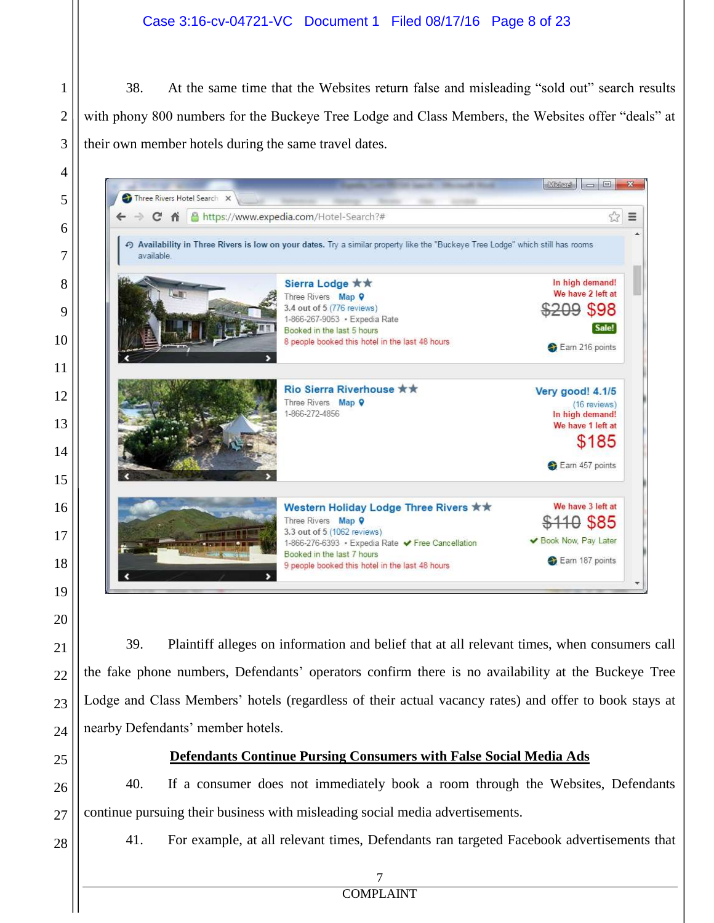### Case 3:16-cv-04721-VC Document 1 Filed 08/17/16 Page 8 of 23

38. At the same time that the Websites return false and misleading "sold out" search results with phony 800 numbers for the Buckeye Tree Lodge and Class Members, the Websites offer "deals" at their own member hotels during the same travel dates.



39. Plaintiff alleges on information and belief that at all relevant times, when consumers call the fake phone numbers, Defendants' operators confirm there is no availability at the Buckeye Tree Lodge and Class Members' hotels (regardless of their actual vacancy rates) and offer to book stays at nearby Defendants' member hotels.

#### **Defendants Continue Pursing Consumers with False Social Media Ads**

40. If a consumer does not immediately book a room through the Websites, Defendants continue pursuing their business with misleading social media advertisements.

41. For example, at all relevant times, Defendants ran targeted Facebook advertisements that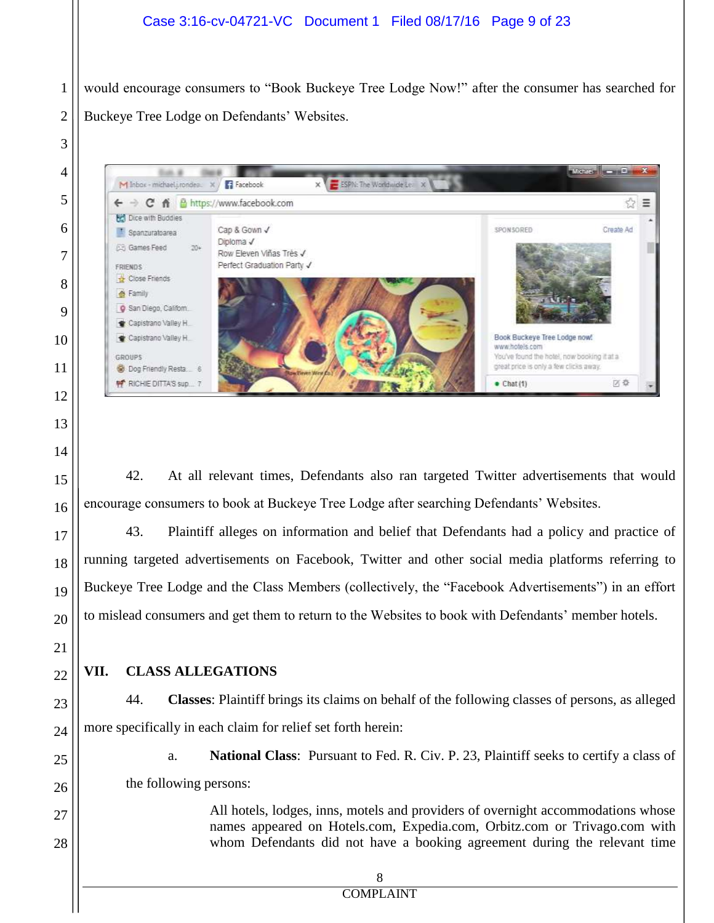### Case 3:16-cv-04721-VC Document 1 Filed 08/17/16 Page 9 of 23

would encourage consumers to "Book Buckeye Tree Lodge Now!" after the consumer has searched for Buckeye Tree Lodge on Defendants' Websites.

Microsoft Company M Inbox - michael i rondes. X / Facebook E ESPN: The Worldwide Lear X ← → C A B https://www.facebook.com ☆ ≡ **Bell** Dice with Buddies convenien Create Ad Cap & Gown √ <sup>1</sup> Spanzuratoarea Dinloma J **GB** Games Feed  $20 +$ Row Eleven Viñas Très √ Perfect Graduation Party √ FRIENDS Close Friends **A** Family C San Diego, Californ. Capistrano Valley H. Capistrano Valley H. Book Buckeye Tree Lodge now www.hotels.com GROUPS You've found the hotel, now booking it at a great price is only a few clicks away. Dog Friendly Resta RICHIE DITTA'S sup... 区森  $\bullet$  Chat(1)

42. At all relevant times, Defendants also ran targeted Twitter advertisements that would encourage consumers to book at Buckeye Tree Lodge after searching Defendants' Websites.

43. Plaintiff alleges on information and belief that Defendants had a policy and practice of running targeted advertisements on Facebook, Twitter and other social media platforms referring to Buckeye Tree Lodge and the Class Members (collectively, the "Facebook Advertisements") in an effort to mislead consumers and get them to return to the Websites to book with Defendants' member hotels.

## **VII. CLASS ALLEGATIONS**

1

2

3

4

5

6

7

8

9

10

11

12

13

14

15

16

17

18

19

20

21

22

23

24

25

26

27

28

44. **Classes**: Plaintiff brings its claims on behalf of the following classes of persons, as alleged more specifically in each claim for relief set forth herein:

a. **National Class**: Pursuant to Fed. R. Civ. P. 23, Plaintiff seeks to certify a class of the following persons:

> All hotels, lodges, inns, motels and providers of overnight accommodations whose names appeared on Hotels.com, Expedia.com, Orbitz.com or Trivago.com with whom Defendants did not have a booking agreement during the relevant time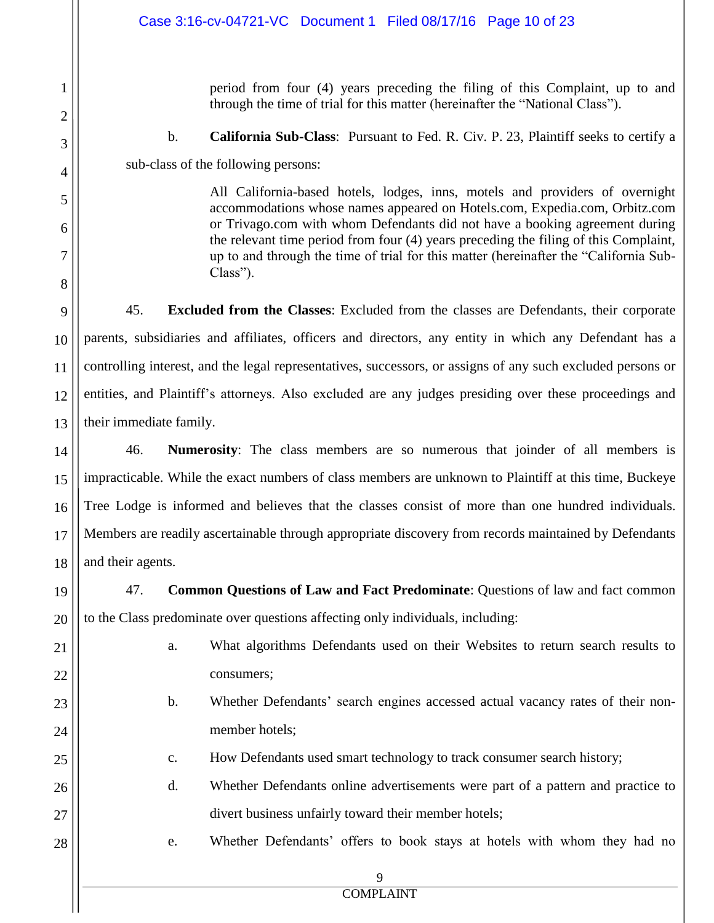|                     | Case 3:16-cv-04721-VC Document 1 Filed 08/17/16 Page 10 of 23                                                                                                                                                                                                |
|---------------------|--------------------------------------------------------------------------------------------------------------------------------------------------------------------------------------------------------------------------------------------------------------|
| 1<br>$\overline{2}$ | period from four (4) years preceding the filing of this Complaint, up to and<br>through the time of trial for this matter (hereinafter the "National Class").                                                                                                |
| 3                   | $\mathbf b$ .<br><b>California Sub-Class:</b> Pursuant to Fed. R. Civ. P. 23, Plaintiff seeks to certify a                                                                                                                                                   |
| 4                   | sub-class of the following persons:                                                                                                                                                                                                                          |
| 5                   | All California-based hotels, lodges, inns, motels and providers of overnight<br>accommodations whose names appeared on Hotels.com, Expedia.com, Orbitz.com                                                                                                   |
| 6<br>7              | or Trivago.com with whom Defendants did not have a booking agreement during<br>the relevant time period from four (4) years preceding the filing of this Complaint,<br>up to and through the time of trial for this matter (hereinafter the "California Sub- |
| 8                   | $Class$ ").                                                                                                                                                                                                                                                  |
| 9                   | 45.<br><b>Excluded from the Classes:</b> Excluded from the classes are Defendants, their corporate                                                                                                                                                           |
| 10                  | parents, subsidiaries and affiliates, officers and directors, any entity in which any Defendant has a                                                                                                                                                        |
| 11                  | controlling interest, and the legal representatives, successors, or assigns of any such excluded persons or                                                                                                                                                  |
| 12                  | entities, and Plaintiff's attorneys. Also excluded are any judges presiding over these proceedings and                                                                                                                                                       |
| 13                  | their immediate family.                                                                                                                                                                                                                                      |
| 14                  | 46.<br><b>Numerosity:</b> The class members are so numerous that joinder of all members is                                                                                                                                                                   |
| 15                  | impracticable. While the exact numbers of class members are unknown to Plaintiff at this time, Buckeye                                                                                                                                                       |
| 16                  | Tree Lodge is informed and believes that the classes consist of more than one hundred individuals.                                                                                                                                                           |
| 17 <sub>1</sub>     | Members are readily ascertainable through appropriate discovery from records maintained by Defendants                                                                                                                                                        |
| 18                  | and their agents.                                                                                                                                                                                                                                            |
| 19                  | Common Questions of Law and Fact Predominate: Questions of law and fact common<br>47.                                                                                                                                                                        |
| 20                  | to the Class predominate over questions affecting only individuals, including:                                                                                                                                                                               |
| 21                  | What algorithms Defendants used on their Websites to return search results to<br>a.                                                                                                                                                                          |
| 22                  | consumers;                                                                                                                                                                                                                                                   |
| 23                  | Whether Defendants' search engines accessed actual vacancy rates of their non-<br>$\mathbf b$ .                                                                                                                                                              |
| 24                  | member hotels;                                                                                                                                                                                                                                               |
| 25                  | How Defendants used smart technology to track consumer search history;<br>$\mathbf{C}$ .                                                                                                                                                                     |
| 26                  | d.<br>Whether Defendants online advertisements were part of a pattern and practice to                                                                                                                                                                        |
| 27                  | divert business unfairly toward their member hotels;                                                                                                                                                                                                         |
| 28                  | Whether Defendants' offers to book stays at hotels with whom they had no<br>e.                                                                                                                                                                               |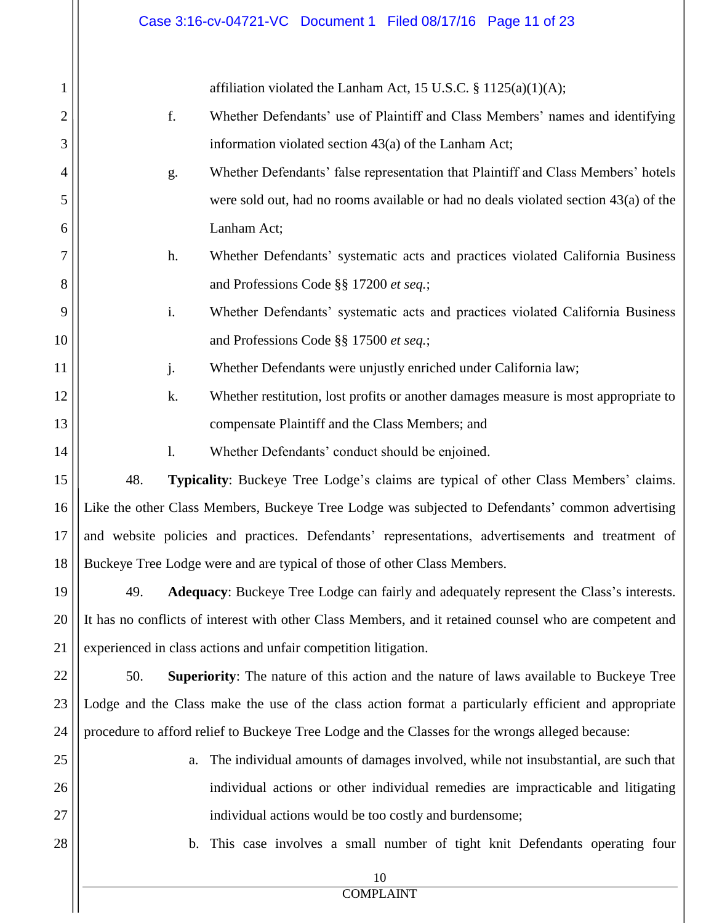|    | Case 3:16-cv-04721-VC Document 1 Filed 08/17/16 Page 11 of 23                                           |
|----|---------------------------------------------------------------------------------------------------------|
| 1  | affiliation violated the Lanham Act, 15 U.S.C. $\S 1125(a)(1)(A);$                                      |
| 2  | f.<br>Whether Defendants' use of Plaintiff and Class Members' names and identifying                     |
| 3  | information violated section 43(a) of the Lanham Act;                                                   |
| 4  | Whether Defendants' false representation that Plaintiff and Class Members' hotels<br>g.                 |
| 5  | were sold out, had no rooms available or had no deals violated section $43(a)$ of the                   |
| 6  | Lanham Act;                                                                                             |
| 7  | h.<br>Whether Defendants' systematic acts and practices violated California Business                    |
| 8  | and Professions Code §§ 17200 et seq.;                                                                  |
| 9  | i.<br>Whether Defendants' systematic acts and practices violated California Business                    |
| 10 | and Professions Code §§ 17500 et seq.;                                                                  |
| 11 | j.<br>Whether Defendants were unjustly enriched under California law;                                   |
| 12 | k.<br>Whether restitution, lost profits or another damages measure is most appropriate to               |
| 13 | compensate Plaintiff and the Class Members; and                                                         |
| 14 | Whether Defendants' conduct should be enjoined.<br>1.                                                   |
| 15 | 48.<br>Typicality: Buckeye Tree Lodge's claims are typical of other Class Members' claims.              |
| 16 | Like the other Class Members, Buckeye Tree Lodge was subjected to Defendants' common advertising        |
| 17 | and website policies and practices. Defendants' representations, advertisements and treatment of        |
| 18 | Buckeye Tree Lodge were and are typical of those of other Class Members.                                |
| 19 | Adequacy: Buckeye Tree Lodge can fairly and adequately represent the Class's interests.<br>49.          |
| 20 | It has no conflicts of interest with other Class Members, and it retained counsel who are competent and |
| 21 | experienced in class actions and unfair competition litigation.                                         |
| 22 | 50.<br><b>Superiority:</b> The nature of this action and the nature of laws available to Buckeye Tree   |
| 23 | Lodge and the Class make the use of the class action format a particularly efficient and appropriate    |
| 24 | procedure to afford relief to Buckeye Tree Lodge and the Classes for the wrongs alleged because:        |
| 25 | The individual amounts of damages involved, while not insubstantial, are such that<br>a.                |
| 26 | individual actions or other individual remedies are impracticable and litigating                        |
| 27 | individual actions would be too costly and burdensome;                                                  |
| 28 | b. This case involves a small number of tight knit Defendants operating four                            |
|    | 10                                                                                                      |
|    | <b>COMPLAINT</b>                                                                                        |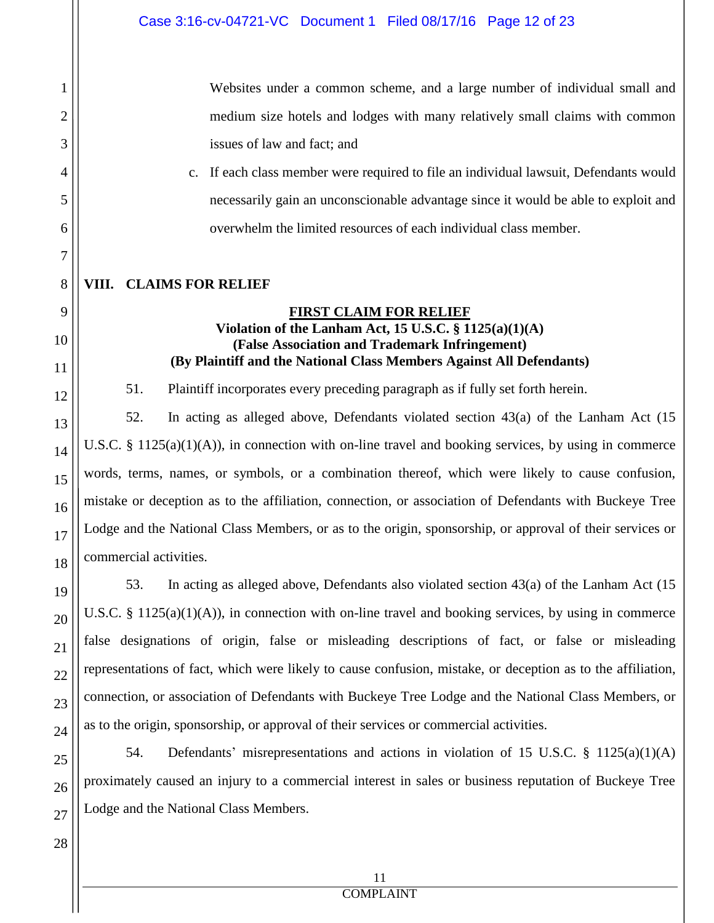Websites under a common scheme, and a large number of individual small and medium size hotels and lodges with many relatively small claims with common issues of law and fact; and

c. If each class member were required to file an individual lawsuit, Defendants would necessarily gain an unconscionable advantage since it would be able to exploit and overwhelm the limited resources of each individual class member.

#### **VIII. CLAIMS FOR RELIEF**

## **FIRST CLAIM FOR RELIEF Violation of the Lanham Act, 15 U.S.C. § 1125(a)(1)(A) (False Association and Trademark Infringement) (By Plaintiff and the National Class Members Against All Defendants)**

51. Plaintiff incorporates every preceding paragraph as if fully set forth herein.

52. In acting as alleged above, Defendants violated section 43(a) of the Lanham Act (15 U.S.C. § 1125(a)(1)(A)), in connection with on-line travel and booking services, by using in commerce words, terms, names, or symbols, or a combination thereof, which were likely to cause confusion, mistake or deception as to the affiliation, connection, or association of Defendants with Buckeye Tree Lodge and the National Class Members, or as to the origin, sponsorship, or approval of their services or commercial activities.

53. In acting as alleged above, Defendants also violated section 43(a) of the Lanham Act (15 U.S.C. § 1125(a)(1)(A)), in connection with on-line travel and booking services, by using in commerce false designations of origin, false or misleading descriptions of fact, or false or misleading representations of fact, which were likely to cause confusion, mistake, or deception as to the affiliation, connection, or association of Defendants with Buckeye Tree Lodge and the National Class Members, or as to the origin, sponsorship, or approval of their services or commercial activities.

54. Defendants' misrepresentations and actions in violation of 15 U.S.C. § 1125(a)(1)(A) proximately caused an injury to a commercial interest in sales or business reputation of Buckeye Tree Lodge and the National Class Members.

1

2

3

4

5

6

7

8

9

10

11

12

13

14

15

16

17

18

19

20

21

22

23

24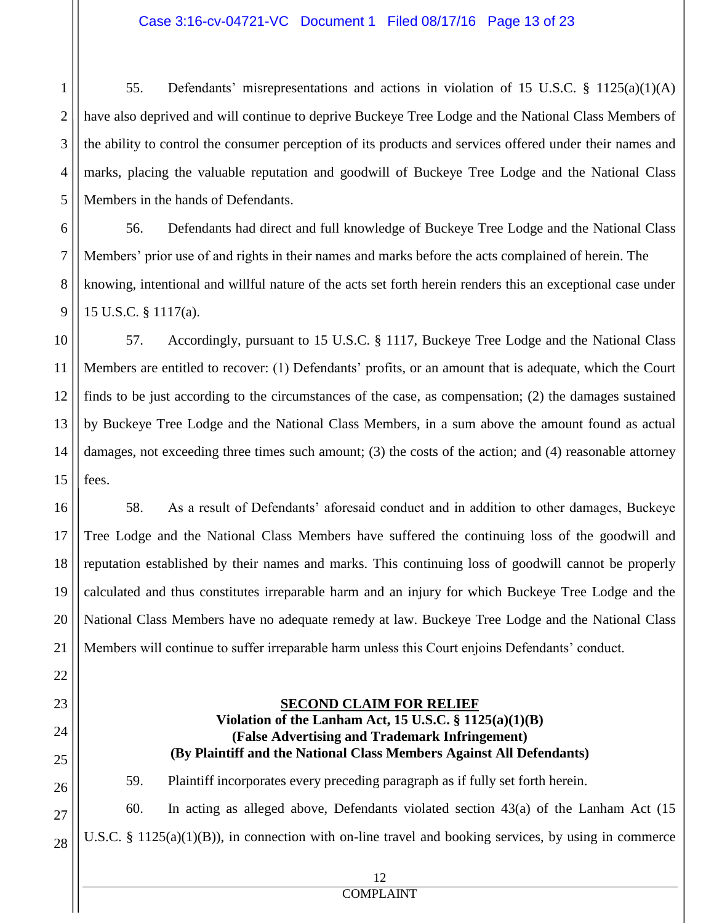#### Case 3:16-cv-04721-VC Document 1 Filed 08/17/16 Page 13 of 23

1

2

3

4

5

6

7

8

9

21

22

23

24

25

26

27

28

55. Defendants' misrepresentations and actions in violation of 15 U.S.C. § 1125(a)(1)(A) have also deprived and will continue to deprive Buckeye Tree Lodge and the National Class Members of the ability to control the consumer perception of its products and services offered under their names and marks, placing the valuable reputation and goodwill of Buckeye Tree Lodge and the National Class Members in the hands of Defendants.

56. Defendants had direct and full knowledge of Buckeye Tree Lodge and the National Class Members' prior use of and rights in their names and marks before the acts complained of herein. The knowing, intentional and willful nature of the acts set forth herein renders this an exceptional case under 15 U.S.C. § 1117(a).

10 11 12 13 14 15 57. Accordingly, pursuant to 15 U.S.C. § 1117, Buckeye Tree Lodge and the National Class Members are entitled to recover: (1) Defendants' profits, or an amount that is adequate, which the Court finds to be just according to the circumstances of the case, as compensation; (2) the damages sustained by Buckeye Tree Lodge and the National Class Members, in a sum above the amount found as actual damages, not exceeding three times such amount; (3) the costs of the action; and (4) reasonable attorney fees.

16 17 18 19 20 58. As a result of Defendants' aforesaid conduct and in addition to other damages, Buckeye Tree Lodge and the National Class Members have suffered the continuing loss of the goodwill and reputation established by their names and marks. This continuing loss of goodwill cannot be properly calculated and thus constitutes irreparable harm and an injury for which Buckeye Tree Lodge and the National Class Members have no adequate remedy at law. Buckeye Tree Lodge and the National Class Members will continue to suffer irreparable harm unless this Court enjoins Defendants' conduct.

### **SECOND CLAIM FOR RELIEF Violation of the Lanham Act, 15 U.S.C. § 1125(a)(1)(B) (False Advertising and Trademark Infringement) (By Plaintiff and the National Class Members Against All Defendants)**

59. Plaintiff incorporates every preceding paragraph as if fully set forth herein.

60. In acting as alleged above, Defendants violated section 43(a) of the Lanham Act (15 U.S.C. §  $1125(a)(1)(B)$ , in connection with on-line travel and booking services, by using in commerce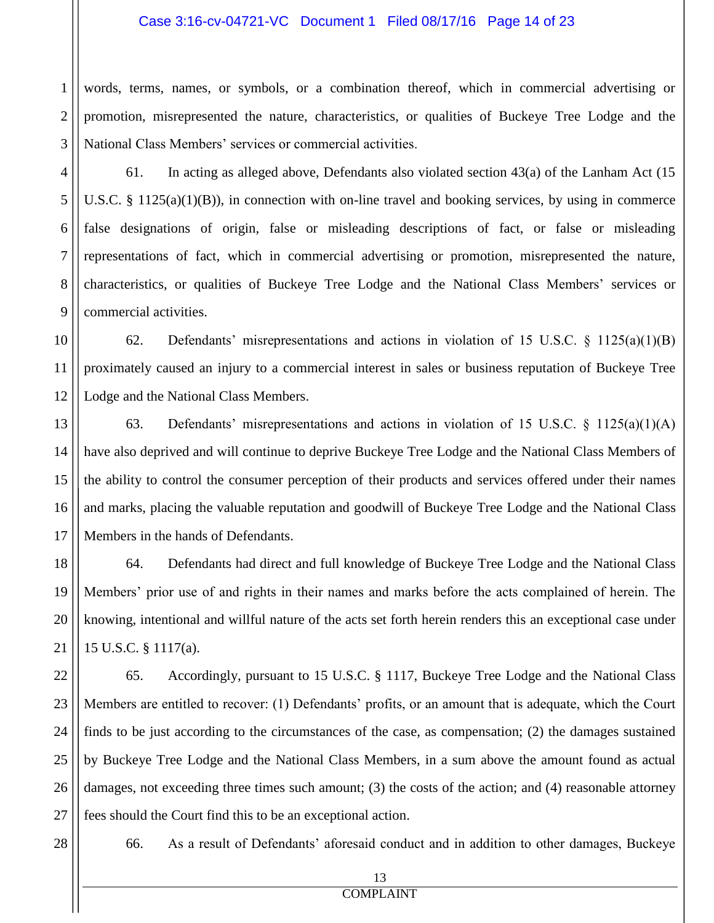#### Case 3:16-cv-04721-VC Document 1 Filed 08/17/16 Page 14 of 23

1 2 3 words, terms, names, or symbols, or a combination thereof, which in commercial advertising or promotion, misrepresented the nature, characteristics, or qualities of Buckeye Tree Lodge and the National Class Members' services or commercial activities.

61. In acting as alleged above, Defendants also violated section 43(a) of the Lanham Act (15 U.S.C.  $\S 1125(a)(1)(B)$ , in connection with on-line travel and booking services, by using in commerce false designations of origin, false or misleading descriptions of fact, or false or misleading representations of fact, which in commercial advertising or promotion, misrepresented the nature, characteristics, or qualities of Buckeye Tree Lodge and the National Class Members' services or commercial activities.

10 11 12 62. Defendants' misrepresentations and actions in violation of 15 U.S.C. § 1125(a)(1)(B) proximately caused an injury to a commercial interest in sales or business reputation of Buckeye Tree Lodge and the National Class Members.

13 14 15 16 17 63. Defendants' misrepresentations and actions in violation of 15 U.S.C. § 1125(a)(1)(A) have also deprived and will continue to deprive Buckeye Tree Lodge and the National Class Members of the ability to control the consumer perception of their products and services offered under their names and marks, placing the valuable reputation and goodwill of Buckeye Tree Lodge and the National Class Members in the hands of Defendants.

64. Defendants had direct and full knowledge of Buckeye Tree Lodge and the National Class Members' prior use of and rights in their names and marks before the acts complained of herein. The knowing, intentional and willful nature of the acts set forth herein renders this an exceptional case under 15 U.S.C. § 1117(a).

22 23 24 25 26 27 65. Accordingly, pursuant to 15 U.S.C. § 1117, Buckeye Tree Lodge and the National Class Members are entitled to recover: (1) Defendants' profits, or an amount that is adequate, which the Court finds to be just according to the circumstances of the case, as compensation; (2) the damages sustained by Buckeye Tree Lodge and the National Class Members, in a sum above the amount found as actual damages, not exceeding three times such amount; (3) the costs of the action; and (4) reasonable attorney fees should the Court find this to be an exceptional action.

28

4

5

6

7

8

9

18

19

20

21

66. As a result of Defendants' aforesaid conduct and in addition to other damages, Buckeye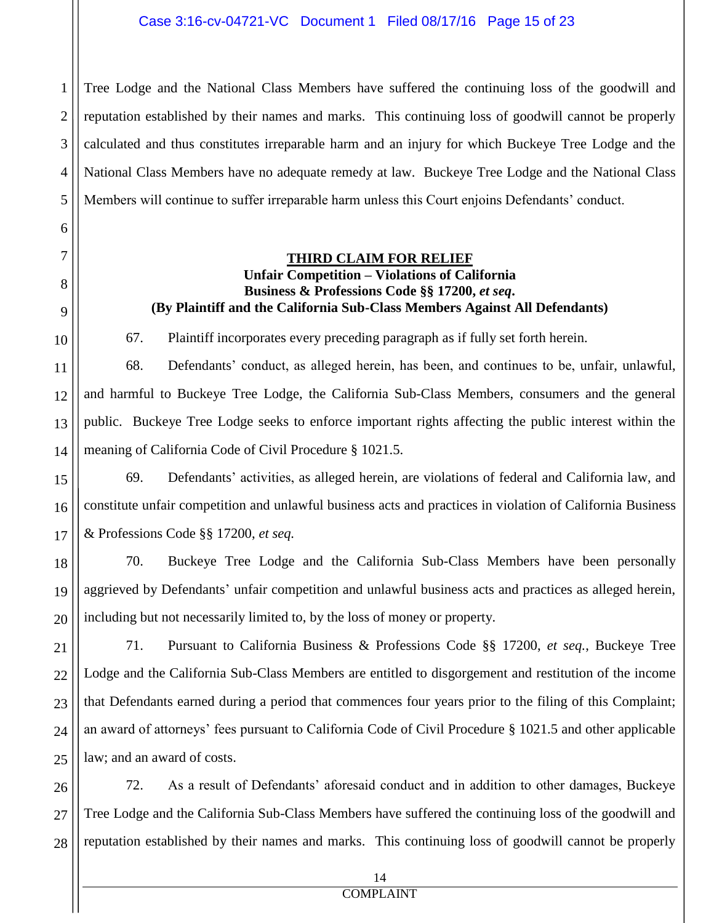1 2 3 4 5 Tree Lodge and the National Class Members have suffered the continuing loss of the goodwill and reputation established by their names and marks. This continuing loss of goodwill cannot be properly calculated and thus constitutes irreparable harm and an injury for which Buckeye Tree Lodge and the National Class Members have no adequate remedy at law. Buckeye Tree Lodge and the National Class Members will continue to suffer irreparable harm unless this Court enjoins Defendants' conduct.

#### **THIRD CLAIM FOR RELIEF Unfair Competition – Violations of California Business & Professions Code §§ 17200,** *et seq***. (By Plaintiff and the California Sub-Class Members Against All Defendants)**

67. Plaintiff incorporates every preceding paragraph as if fully set forth herein.

6

7

8

9

10

11

12

13

14

68. Defendants' conduct, as alleged herein, has been, and continues to be, unfair, unlawful, and harmful to Buckeye Tree Lodge, the California Sub-Class Members, consumers and the general public. Buckeye Tree Lodge seeks to enforce important rights affecting the public interest within the meaning of California Code of Civil Procedure § 1021.5.

15 16 17 69. Defendants' activities, as alleged herein, are violations of federal and California law, and constitute unfair competition and unlawful business acts and practices in violation of California Business & Professions Code §§ 17200, *et seq.*

18 19 20 70. Buckeye Tree Lodge and the California Sub-Class Members have been personally aggrieved by Defendants' unfair competition and unlawful business acts and practices as alleged herein, including but not necessarily limited to, by the loss of money or property.

21 22 23 24 25 71. Pursuant to California Business & Professions Code §§ 17200, *et seq.*, Buckeye Tree Lodge and the California Sub-Class Members are entitled to disgorgement and restitution of the income that Defendants earned during a period that commences four years prior to the filing of this Complaint; an award of attorneys' fees pursuant to California Code of Civil Procedure § 1021.5 and other applicable law; and an award of costs.

26 27 28 72. As a result of Defendants' aforesaid conduct and in addition to other damages, Buckeye Tree Lodge and the California Sub-Class Members have suffered the continuing loss of the goodwill and reputation established by their names and marks. This continuing loss of goodwill cannot be properly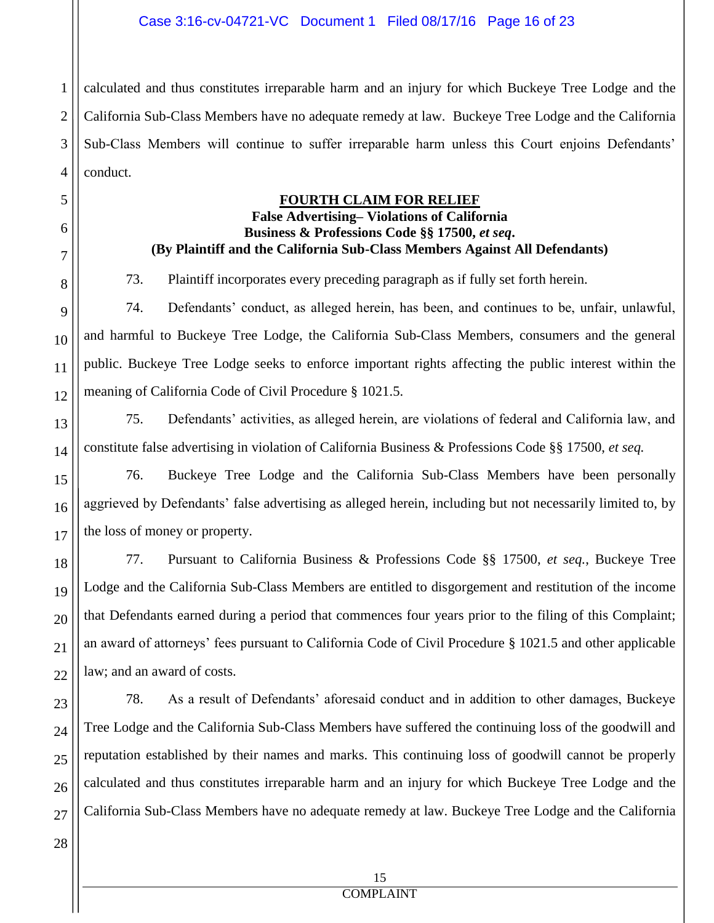1 2 3 4 calculated and thus constitutes irreparable harm and an injury for which Buckeye Tree Lodge and the California Sub-Class Members have no adequate remedy at law. Buckeye Tree Lodge and the California Sub-Class Members will continue to suffer irreparable harm unless this Court enjoins Defendants' conduct.

#### **FOURTH CLAIM FOR RELIEF**

#### **False Advertising– Violations of California Business & Professions Code §§ 17500,** *et seq***. (By Plaintiff and the California Sub-Class Members Against All Defendants)**

73. Plaintiff incorporates every preceding paragraph as if fully set forth herein.

12 74. Defendants' conduct, as alleged herein, has been, and continues to be, unfair, unlawful, and harmful to Buckeye Tree Lodge, the California Sub-Class Members, consumers and the general public. Buckeye Tree Lodge seeks to enforce important rights affecting the public interest within the meaning of California Code of Civil Procedure § 1021.5.

75. Defendants' activities, as alleged herein, are violations of federal and California law, and constitute false advertising in violation of California Business & Professions Code §§ 17500, *et seq.*

76. Buckeye Tree Lodge and the California Sub-Class Members have been personally aggrieved by Defendants' false advertising as alleged herein, including but not necessarily limited to, by the loss of money or property.

77. Pursuant to California Business & Professions Code §§ 17500, *et seq.*, Buckeye Tree Lodge and the California Sub-Class Members are entitled to disgorgement and restitution of the income that Defendants earned during a period that commences four years prior to the filing of this Complaint; an award of attorneys' fees pursuant to California Code of Civil Procedure § 1021.5 and other applicable law; and an award of costs.

78. As a result of Defendants' aforesaid conduct and in addition to other damages, Buckeye Tree Lodge and the California Sub-Class Members have suffered the continuing loss of the goodwill and reputation established by their names and marks. This continuing loss of goodwill cannot be properly calculated and thus constitutes irreparable harm and an injury for which Buckeye Tree Lodge and the California Sub-Class Members have no adequate remedy at law. Buckeye Tree Lodge and the California

5

6

7

8

9

10

11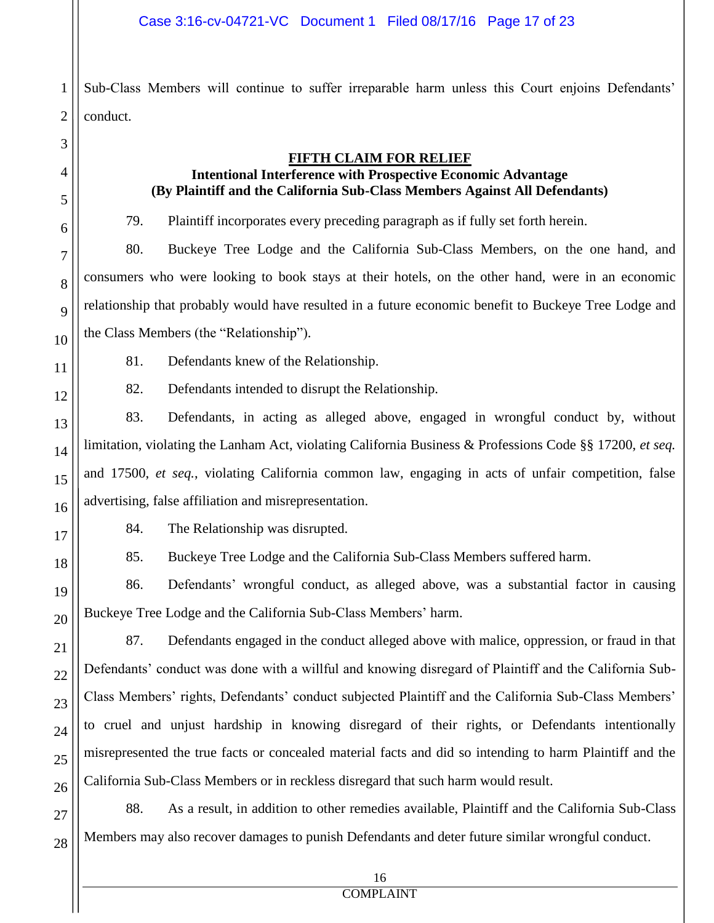1 2 Sub-Class Members will continue to suffer irreparable harm unless this Court enjoins Defendants' conduct.

3 4

5

6

7

8

9

10

11

12

13

14

15

16

17

18

19

20

21

22

23

24

25

26

27

28

#### **FIFTH CLAIM FOR RELIEF**

# **Intentional Interference with Prospective Economic Advantage (By Plaintiff and the California Sub-Class Members Against All Defendants)**

79. Plaintiff incorporates every preceding paragraph as if fully set forth herein.

80. Buckeye Tree Lodge and the California Sub-Class Members, on the one hand, and consumers who were looking to book stays at their hotels, on the other hand, were in an economic relationship that probably would have resulted in a future economic benefit to Buckeye Tree Lodge and the Class Members (the "Relationship").

81. Defendants knew of the Relationship.

82. Defendants intended to disrupt the Relationship.

83. Defendants, in acting as alleged above, engaged in wrongful conduct by, without limitation, violating the Lanham Act, violating California Business & Professions Code §§ 17200, *et seq.*  and 17500, *et seq.*, violating California common law, engaging in acts of unfair competition, false advertising, false affiliation and misrepresentation.

84. The Relationship was disrupted.

85. Buckeye Tree Lodge and the California Sub-Class Members suffered harm.

86. Defendants' wrongful conduct, as alleged above, was a substantial factor in causing Buckeye Tree Lodge and the California Sub-Class Members' harm.

87. Defendants engaged in the conduct alleged above with malice, oppression, or fraud in that Defendants' conduct was done with a willful and knowing disregard of Plaintiff and the California Sub-Class Members' rights, Defendants' conduct subjected Plaintiff and the California Sub-Class Members' to cruel and unjust hardship in knowing disregard of their rights, or Defendants intentionally misrepresented the true facts or concealed material facts and did so intending to harm Plaintiff and the California Sub-Class Members or in reckless disregard that such harm would result.

88. As a result, in addition to other remedies available, Plaintiff and the California Sub-Class Members may also recover damages to punish Defendants and deter future similar wrongful conduct.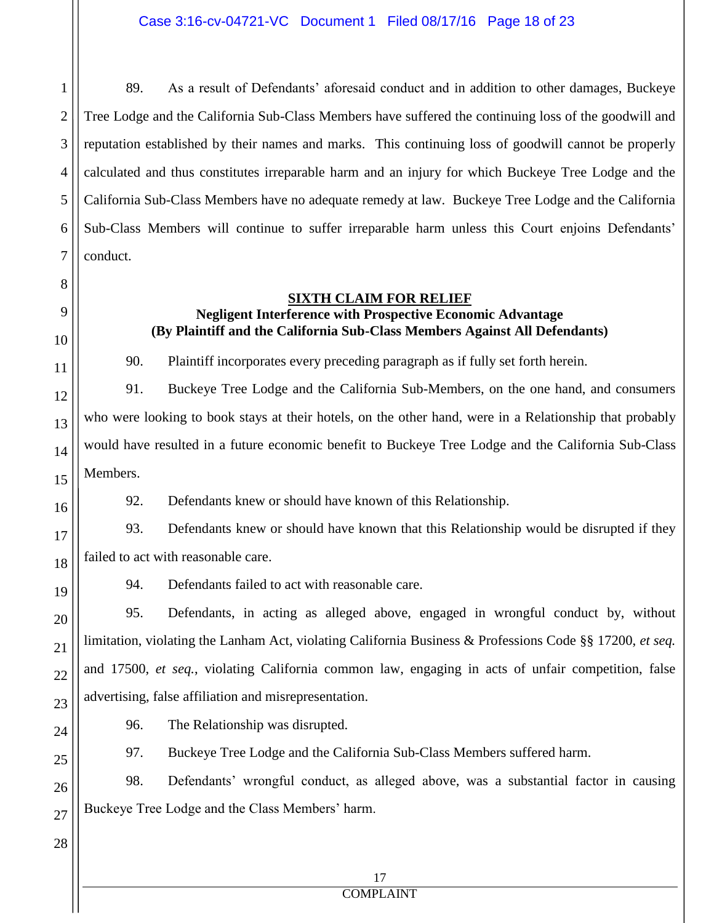2 3 4 5 6 7 89. As a result of Defendants' aforesaid conduct and in addition to other damages, Buckeye Tree Lodge and the California Sub-Class Members have suffered the continuing loss of the goodwill and reputation established by their names and marks. This continuing loss of goodwill cannot be properly calculated and thus constitutes irreparable harm and an injury for which Buckeye Tree Lodge and the California Sub-Class Members have no adequate remedy at law. Buckeye Tree Lodge and the California Sub-Class Members will continue to suffer irreparable harm unless this Court enjoins Defendants' conduct.

#### **SIXTH CLAIM FOR RELIEF**

# **Negligent Interference with Prospective Economic Advantage (By Plaintiff and the California Sub-Class Members Against All Defendants)**

90. Plaintiff incorporates every preceding paragraph as if fully set forth herein.

91. Buckeye Tree Lodge and the California Sub-Members, on the one hand, and consumers who were looking to book stays at their hotels, on the other hand, were in a Relationship that probably would have resulted in a future economic benefit to Buckeye Tree Lodge and the California Sub-Class Members.

92. Defendants knew or should have known of this Relationship.

93. Defendants knew or should have known that this Relationship would be disrupted if they failed to act with reasonable care.

94. Defendants failed to act with reasonable care.

95. Defendants, in acting as alleged above, engaged in wrongful conduct by, without limitation, violating the Lanham Act, violating California Business & Professions Code §§ 17200, *et seq.*  and 17500, *et seq.*, violating California common law, engaging in acts of unfair competition, false advertising, false affiliation and misrepresentation.

96. The Relationship was disrupted.

97. Buckeye Tree Lodge and the California Sub-Class Members suffered harm.

98. Defendants' wrongful conduct, as alleged above, was a substantial factor in causing Buckeye Tree Lodge and the Class Members' harm.

1

8

9

10

11

12

13

14

15

16

17

18

19

20

21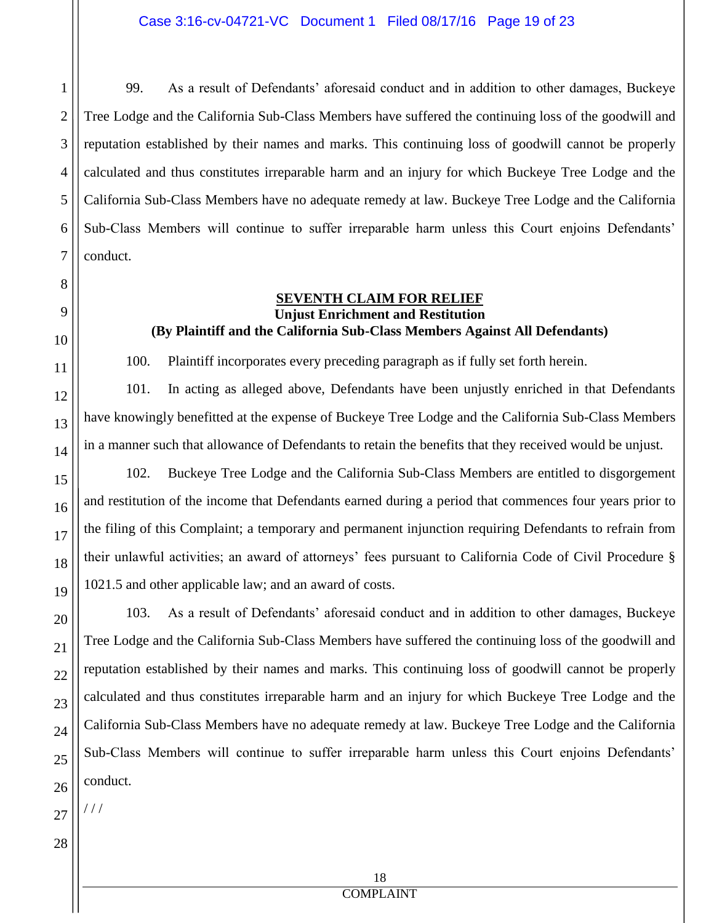99. As a result of Defendants' aforesaid conduct and in addition to other damages, Buckeye Tree Lodge and the California Sub-Class Members have suffered the continuing loss of the goodwill and reputation established by their names and marks. This continuing loss of goodwill cannot be properly calculated and thus constitutes irreparable harm and an injury for which Buckeye Tree Lodge and the California Sub-Class Members have no adequate remedy at law. Buckeye Tree Lodge and the California Sub-Class Members will continue to suffer irreparable harm unless this Court enjoins Defendants' conduct.

#### **SEVENTH CLAIM FOR RELIEF Unjust Enrichment and Restitution (By Plaintiff and the California Sub-Class Members Against All Defendants)**

100. Plaintiff incorporates every preceding paragraph as if fully set forth herein.

101. In acting as alleged above, Defendants have been unjustly enriched in that Defendants have knowingly benefitted at the expense of Buckeye Tree Lodge and the California Sub-Class Members in a manner such that allowance of Defendants to retain the benefits that they received would be unjust.

102. Buckeye Tree Lodge and the California Sub-Class Members are entitled to disgorgement and restitution of the income that Defendants earned during a period that commences four years prior to the filing of this Complaint; a temporary and permanent injunction requiring Defendants to refrain from their unlawful activities; an award of attorneys' fees pursuant to California Code of Civil Procedure § 1021.5 and other applicable law; and an award of costs.

103. As a result of Defendants' aforesaid conduct and in addition to other damages, Buckeye Tree Lodge and the California Sub-Class Members have suffered the continuing loss of the goodwill and reputation established by their names and marks. This continuing loss of goodwill cannot be properly calculated and thus constitutes irreparable harm and an injury for which Buckeye Tree Lodge and the California Sub-Class Members have no adequate remedy at law. Buckeye Tree Lodge and the California Sub-Class Members will continue to suffer irreparable harm unless this Court enjoins Defendants' conduct.

27 / / /

1

2

3

4

5

6

7

8

9

10

11

12

13

14

15

16

17

18

19

20

21

22

23

24

25

26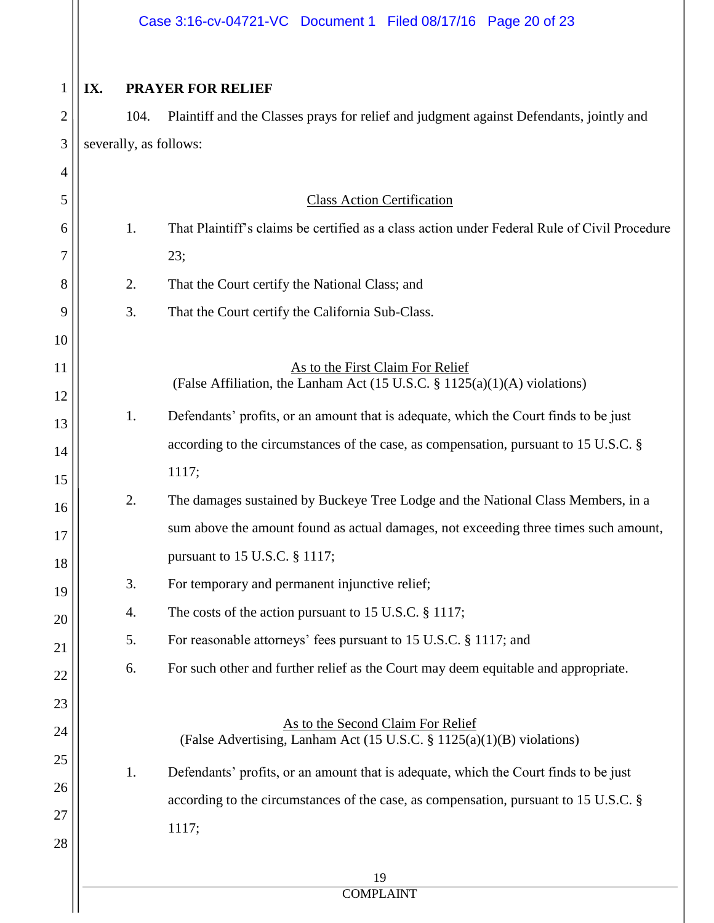|              |                        | Case 3:16-cv-04721-VC Document 1 Filed 08/17/16 Page 20 of 23                                                            |
|--------------|------------------------|--------------------------------------------------------------------------------------------------------------------------|
| $\mathbf{1}$ | IX.                    | <b>PRAYER FOR RELIEF</b>                                                                                                 |
| 2            | 104.                   | Plaintiff and the Classes prays for relief and judgment against Defendants, jointly and                                  |
| 3            | severally, as follows: |                                                                                                                          |
| 4            |                        |                                                                                                                          |
| 5            |                        | <b>Class Action Certification</b>                                                                                        |
| 6            | 1.                     | That Plaintiff's claims be certified as a class action under Federal Rule of Civil Procedure                             |
| 7            |                        | 23;                                                                                                                      |
| 8            | 2.                     | That the Court certify the National Class; and                                                                           |
| 9            | 3.                     | That the Court certify the California Sub-Class.                                                                         |
| 10           |                        |                                                                                                                          |
| 11           |                        | As to the First Claim For Relief<br>(False Affiliation, the Lanham Act $(15 \text{ U.S.C. } § 1125(a)(1)(A)$ violations) |
| 12           |                        |                                                                                                                          |
| 13           | 1.                     | Defendants' profits, or an amount that is adequate, which the Court finds to be just                                     |
| 14           |                        | according to the circumstances of the case, as compensation, pursuant to 15 U.S.C. §                                     |
| 15           |                        | 1117;                                                                                                                    |
| 16           | 2.                     | The damages sustained by Buckeye Tree Lodge and the National Class Members, in a                                         |
| 17           |                        | sum above the amount found as actual damages, not exceeding three times such amount,                                     |
| 18           |                        | pursuant to 15 U.S.C. § 1117;                                                                                            |
| 19           | 3.                     | For temporary and permanent injunctive relief;                                                                           |
| 20           | 4.                     | The costs of the action pursuant to 15 U.S.C. $\S$ 1117;                                                                 |
| 21           | 5.                     | For reasonable attorneys' fees pursuant to 15 U.S.C. § 1117; and                                                         |
| 22           | 6.                     | For such other and further relief as the Court may deem equitable and appropriate.                                       |
| 23           |                        |                                                                                                                          |
| 24           |                        | As to the Second Claim For Relief<br>(False Advertising, Lanham Act (15 U.S.C. § 1125(a)(1)(B) violations)               |
| 25           | 1.                     | Defendants' profits, or an amount that is adequate, which the Court finds to be just                                     |
| 26           |                        | according to the circumstances of the case, as compensation, pursuant to 15 U.S.C. §                                     |
| 27           |                        | 1117;                                                                                                                    |
| 28           |                        |                                                                                                                          |
|              |                        | 19<br><b>COMPLAINT</b>                                                                                                   |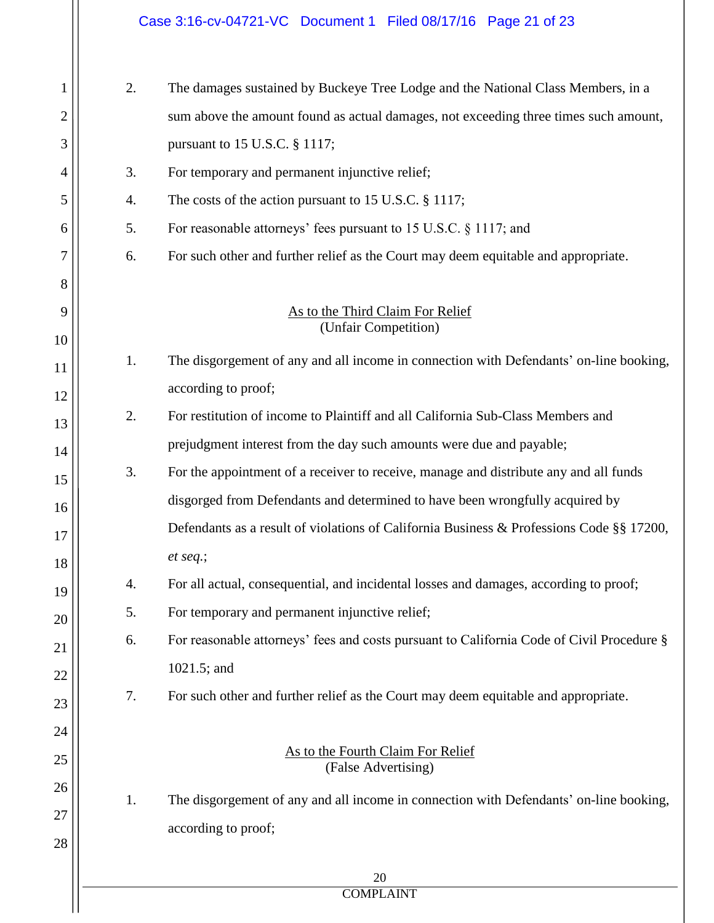|                |    | Case 3:16-cv-04721-VC Document 1 Filed 08/17/16 Page 21 of 23                             |
|----------------|----|-------------------------------------------------------------------------------------------|
| 1              | 2. | The damages sustained by Buckeye Tree Lodge and the National Class Members, in a          |
| $\overline{2}$ |    | sum above the amount found as actual damages, not exceeding three times such amount,      |
| 3              |    | pursuant to 15 U.S.C. § 1117;                                                             |
| 4              | 3. | For temporary and permanent injunctive relief;                                            |
| 5              | 4. | The costs of the action pursuant to 15 U.S.C. § 1117;                                     |
| 6              | 5. | For reasonable attorneys' fees pursuant to 15 U.S.C. § 1117; and                          |
| 7              | 6. | For such other and further relief as the Court may deem equitable and appropriate.        |
| 8              |    |                                                                                           |
| 9<br>10        |    | As to the Third Claim For Relief<br>(Unfair Competition)                                  |
| 11             | 1. | The disgorgement of any and all income in connection with Defendants' on-line booking,    |
| 12             |    | according to proof;                                                                       |
| 13             | 2. | For restitution of income to Plaintiff and all California Sub-Class Members and           |
| 14             |    | prejudgment interest from the day such amounts were due and payable;                      |
| 15             | 3. | For the appointment of a receiver to receive, manage and distribute any and all funds     |
| 16             |    | disgorged from Defendants and determined to have been wrongfully acquired by              |
| 17             |    | Defendants as a result of violations of California Business & Professions Code §§ 17200,  |
| 18             |    | et seq.;                                                                                  |
| 19             | 4. | For all actual, consequential, and incidental losses and damages, according to proof;     |
| 20             | 5. | For temporary and permanent injunctive relief;                                            |
| 21             | 6. | For reasonable attorneys' fees and costs pursuant to California Code of Civil Procedure § |
| 22             |    | $1021.5$ ; and                                                                            |
| 23             | 7. | For such other and further relief as the Court may deem equitable and appropriate.        |
| 24             |    |                                                                                           |
| 25             |    | As to the Fourth Claim For Relief<br>(False Advertising)                                  |
| 26             | 1. | The disgorgement of any and all income in connection with Defendants' on-line booking,    |
| 27             |    | according to proof;                                                                       |
| 28             |    |                                                                                           |
|                |    | 20<br>$COMDI$ a INIT                                                                      |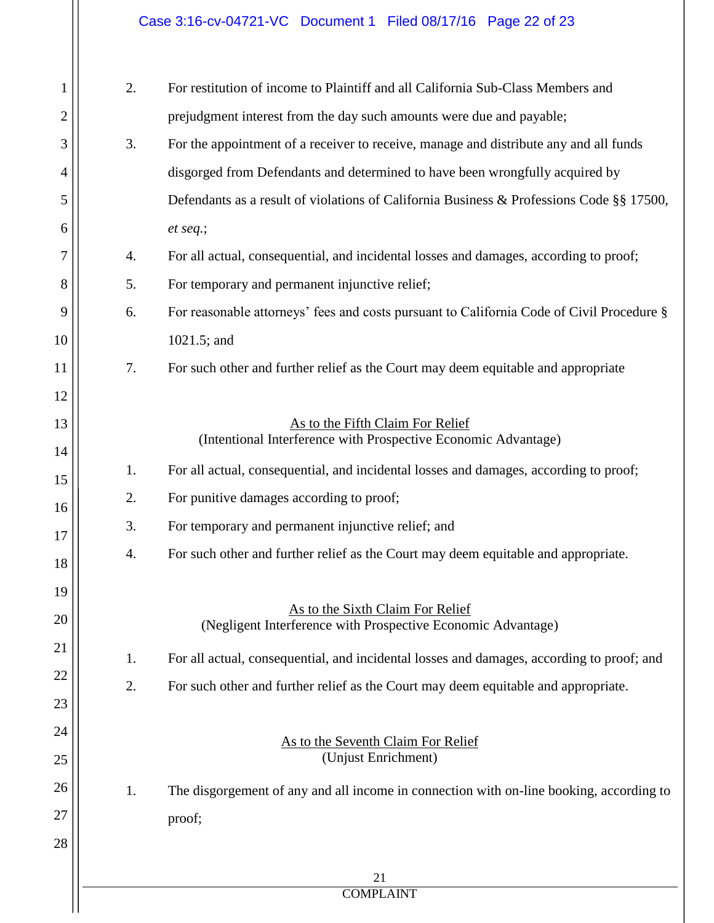# Case 3:16-cv-04721-VC Document 1 Filed 08/17/16 Page 22 of 23

| 1  | 2. | For restitution of income to Plaintiff and all California Sub-Class Members and                  |
|----|----|--------------------------------------------------------------------------------------------------|
| 2  |    | prejudgment interest from the day such amounts were due and payable;                             |
| 3  | 3. | For the appointment of a receiver to receive, manage and distribute any and all funds            |
| 4  |    | disgorged from Defendants and determined to have been wrongfully acquired by                     |
| 5  |    | Defendants as a result of violations of California Business & Professions Code §§ 17500,         |
| 6  |    | et seq.;                                                                                         |
| 7  | 4. | For all actual, consequential, and incidental losses and damages, according to proof;            |
| 8  | 5. | For temporary and permanent injunctive relief;                                                   |
| 9  | 6. | For reasonable attorneys' fees and costs pursuant to California Code of Civil Procedure §        |
| 10 |    | $1021.5$ ; and                                                                                   |
| 11 | 7. | For such other and further relief as the Court may deem equitable and appropriate                |
| 12 |    |                                                                                                  |
| 13 |    | As to the Fifth Claim For Relief                                                                 |
| 14 |    | (Intentional Interference with Prospective Economic Advantage)                                   |
| 15 | 1. | For all actual, consequential, and incidental losses and damages, according to proof;            |
| 16 | 2. | For punitive damages according to proof;                                                         |
| 17 | 3. | For temporary and permanent injunctive relief; and                                               |
| 18 | 4. | For such other and further relief as the Court may deem equitable and appropriate.               |
| 19 |    |                                                                                                  |
| 20 |    | As to the Sixth Claim For Relief<br>(Negligent Interference with Prospective Economic Advantage) |
| 21 |    |                                                                                                  |
| 22 | 1. | For all actual, consequential, and incidental losses and damages, according to proof; and        |
| 23 | 2. | For such other and further relief as the Court may deem equitable and appropriate.               |
| 24 |    |                                                                                                  |
| 25 |    | As to the Seventh Claim For Relief<br>(Unjust Enrichment)                                        |
| 26 |    |                                                                                                  |
| 27 | 1. | The disgorgement of any and all income in connection with on-line booking, according to          |
|    |    | proof;                                                                                           |
| 28 |    |                                                                                                  |
|    |    | 21                                                                                               |
|    |    | <b>COMPLAINT</b>                                                                                 |